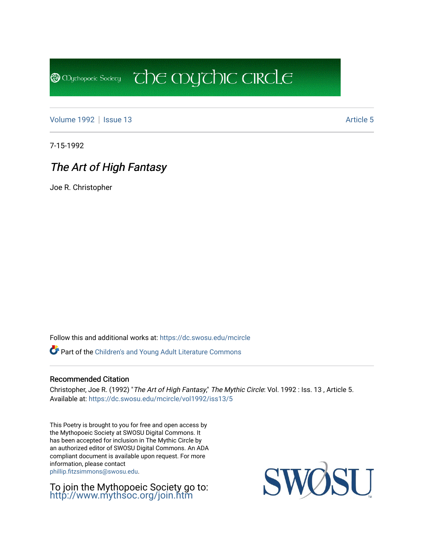[Volume 1992](https://dc.swosu.edu/mcircle/vol1992) | [Issue 13](https://dc.swosu.edu/mcircle/vol1992/iss13) Article 5

**@** Mychopoeic Sociecy

7-15-1992

# The Art of High Fantasy

Joe R. Christopher

Follow this and additional works at: [https://dc.swosu.edu/mcircle](https://dc.swosu.edu/mcircle?utm_source=dc.swosu.edu%2Fmcircle%2Fvol1992%2Fiss13%2F5&utm_medium=PDF&utm_campaign=PDFCoverPages) 

Part of the [Children's and Young Adult Literature Commons](http://network.bepress.com/hgg/discipline/1289?utm_source=dc.swosu.edu%2Fmcircle%2Fvol1992%2Fiss13%2F5&utm_medium=PDF&utm_campaign=PDFCoverPages) 

#### Recommended Citation

Christopher, Joe R. (1992) "The Art of High Fantasy," The Mythic Circle: Vol. 1992 : Iss. 13 , Article 5. Available at: [https://dc.swosu.edu/mcircle/vol1992/iss13/5](https://dc.swosu.edu/mcircle/vol1992/iss13/5?utm_source=dc.swosu.edu%2Fmcircle%2Fvol1992%2Fiss13%2F5&utm_medium=PDF&utm_campaign=PDFCoverPages)

 $\overline{c}$  the mychic circle

This Poetry is brought to you for free and open access by the Mythopoeic Society at SWOSU Digital Commons. It has been accepted for inclusion in The Mythic Circle by an authorized editor of SWOSU Digital Commons. An ADA compliant document is available upon request. For more information, please contact [phillip.fitzsimmons@swosu.edu](mailto:phillip.fitzsimmons@swosu.edu).

To join the Mythopoeic Society go to: <http://www.mythsoc.org/join.htm>

SWO **ST T**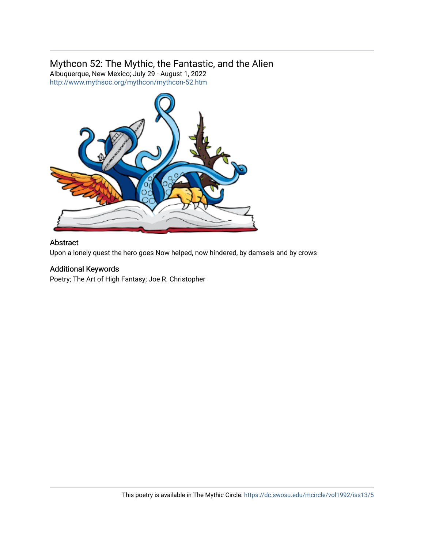### Mythcon 52: The Mythic, the Fantastic, and the Alien

Albuquerque, New Mexico; July 29 - August 1, 2022 <http://www.mythsoc.org/mythcon/mythcon-52.htm>



#### Abstract

Upon a lonely quest the hero goes Now helped, now hindered, by damsels and by crows

#### Additional Keywords

Poetry; The Art of High Fantasy; Joe R. Christopher